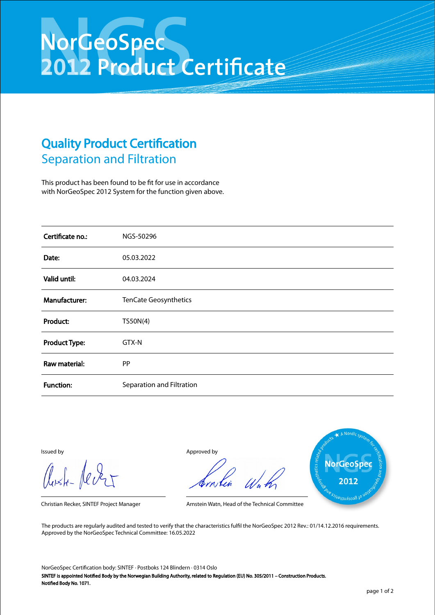## NorGeoSpec<br>2012 Product Certificate

## Quality Product Certification Separation and Filtration

This product has been found to be fit for use in accordance with NorGeoSpec 2012 System for the function given above.

| Certificate no.:     | NGS-50296                 |
|----------------------|---------------------------|
| Date:                | 05.03.2022                |
| Valid until:         | 04.03.2024                |
| Manufacturer:        | TenCate Geosynthetics     |
| Product:             | TS50N(4)                  |
| <b>Product Type:</b> | GTX-N                     |
| Raw material:        | <b>PP</b>                 |
| <b>Function:</b>     | Separation and Filtration |

Aust-Jever

Issued by Approved by



Christian Recker, SINTEF Project Manager Arnstein Watn, Head of the Technical Committee

The products are regularly audited and tested to verify that the characteristics fulfil the NorGeoSpec 2012 Rev.: 01/14.12.2016 requirements. Approved by the NorGeoSpec Technical Committee: 16.05.2022